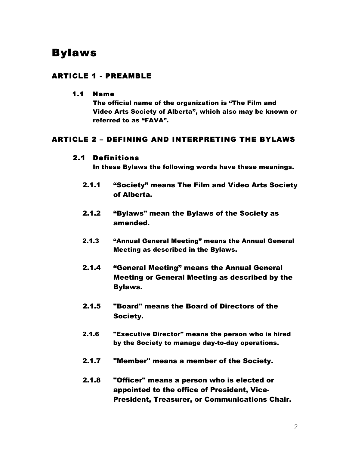# Bylaws

# ARTICLE 1 - PREAMBLE

#### 1.1 Name

The official name of the organization is "The Film and Video Arts Society of Alberta", which also may be known or referred to as "FAVA".

# ARTICLE 2 – DEFINING AND INTERPRETING THE BYLAWS

### 2.1 Definitions

In these Bylaws the following words have these meanings.

- 2.1.1 "Society" means The Film and Video Arts Society of Alberta.
- 2.1.2 "Bylaws" mean the Bylaws of the Society as amended.
- 2.1.3 "Annual General Meeting" means the Annual General Meeting as described in the Bylaws.
- 2.1.4 "General Meeting" means the Annual General Meeting or General Meeting as described by the Bylaws.
- 2.1.5 "Board" means the Board of Directors of the Society.
- 2.1.6 "Executive Director" means the person who is hired by the Society to manage day-to-day operations.
- 2.1.7 "Member" means a member of the Society.
- 2.1.8 "Officer" means a person who is elected or appointed to the office of President, Vice-President, Treasurer, or Communications Chair.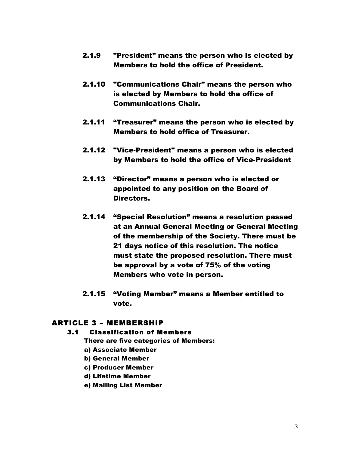- 2.1.9 "President" means the person who is elected by Members to hold the office of President.
- 2.1.10 "Communications Chair" means the person who is elected by Members to hold the office of Communications Chair.
- 2.1.11 "Treasurer" means the person who is elected by Members to hold office of Treasurer.
- 2.1.12 "Vice-President" means a person who is elected by Members to hold the office of Vice-President
- 2.1.13 "Director" means a person who is elected or appointed to any position on the Board of Directors.
- 2.1.14 "Special Resolution" means a resolution passed at an Annual General Meeting or General Meeting of the membership of the Society. There must be 21 days notice of this resolution. The notice must state the proposed resolution. There must be approval by a vote of 75% of the voting Members who vote in person.
- 2.1.15 "Voting Member" means a Member entitled to vote.

### ARTICLE 3 – MEMBERSHIP

### 3.1 Classification of Members

There are five categories of Members:

- a) Associate Member
- b) General Member
- c) Producer Member
- d) Lifetime Member
- e) Mailing List Member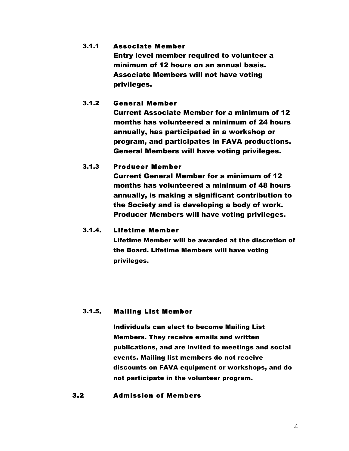### 3.1.1 Associate Member

Entry level member required to volunteer a minimum of 12 hours on an annual basis. Associate Members will not have voting privileges.

### 3.1.2 General Member

Current Associate Member for a minimum of 12 months has volunteered a minimum of 24 hours annually, has participated in a workshop or program, and participates in FAVA productions. General Members will have voting privileges.

### 3.1.3 Producer Member

Current General Member for a minimum of 12 months has volunteered a minimum of 48 hours annually, is making a significant contribution to the Society and is developing a body of work. Producer Members will have voting privileges.

### 3.1.4. Lifetime Member

Lifetime Member will be awarded at the discretion of the Board. Lifetime Members will have voting privileges.

#### 3.1.5. Mailing List Member

Individuals can elect to become Mailing List Members. They receive emails and written publications, and are invited to meetings and social events. Mailing list members do not receive discounts on FAVA equipment or workshops, and do not participate in the volunteer program.

#### 3.2 Admission of Members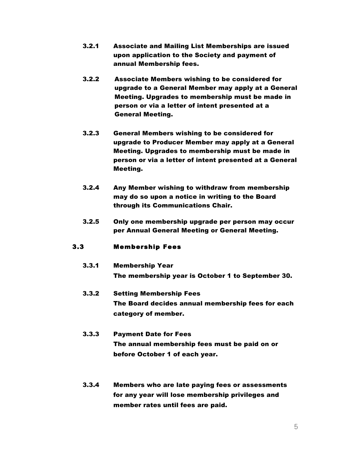- 3.2.1 Associate and Mailing List Memberships are issued upon application to the Society and payment of annual Membership fees.
- 3.2.2 Associate Members wishing to be considered for upgrade to a General Member may apply at a General Meeting. Upgrades to membership must be made in person or via a letter of intent presented at a General Meeting.
- 3.2.3 General Members wishing to be considered for upgrade to Producer Member may apply at a General Meeting. Upgrades to membership must be made in person or via a letter of intent presented at a General Meeting.
- 3.2.4 Any Member wishing to withdraw from membership may do so upon a notice in writing to the Board through its Communications Chair.
- 3.2.5 Only one membership upgrade per person may occur per Annual General Meeting or General Meeting.

#### 3.3 Membership Fees

- 3.3.1 Membership Year The membership year is October 1 to September 30.
- 3.3.2 Setting Membership Fees The Board decides annual membership fees for each category of member.
- 3.3.3 Payment Date for Fees The annual membership fees must be paid on or before October 1 of each year.
- 3.3.4 Members who are late paying fees or assessments for any year will lose membership privileges and member rates until fees are paid.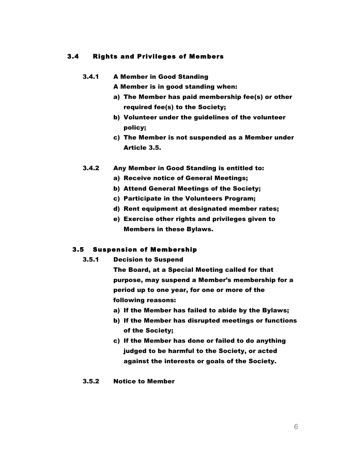#### 3.4 Rights and Privileges of Members

#### 3.4.1 A Member in Good Standing

A Member is in good standing when:

- a) The Member has paid membership fee(s) or other required fee(s) to the Society;
- b) Volunteer under the guidelines of the volunteer policy;
- c) The Member is not suspended as a Member under Article 3.5.
- 3.4.2 Any Member in Good Standing is entitled to:
	- a) Receive notice of General Meetings;
	- b) Attend General Meetings of the Society;
	- c) Participate in the Volunteers Program;
	- d) Rent equipment at designated member rates;
	- e) Exercise other rights and privileges given to Members in these Bylaws.

#### 3.5 Suspension of Membership

- 3.5.1 Decision to Suspend
	- The Board, at a Special Meeting called for that purpose, may suspend a Member's membership for a period up to one year, for one or more of the following reasons:
	- a) If the Member has failed to abide by the Bylaws;
	- b) If the Member has disrupted meetings or functions of the Society;
	- c) If the Member has done or failed to do anything judged to be harmful to the Society, or acted against the interests or goals of the Society.
- 3.5.2 Notice to Member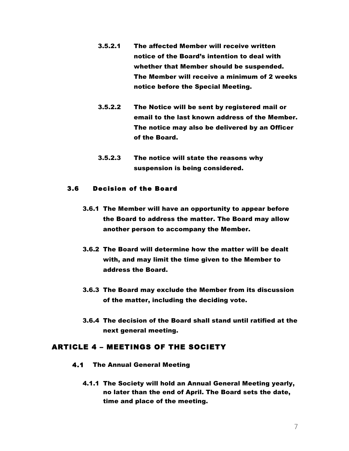- 3.5.2.1 The affected Member will receive written notice of the Board's intention to deal with whether that Member should be suspended. The Member will receive a minimum of 2 weeks notice before the Special Meeting.
- 3.5.2.2 The Notice will be sent by registered mail or email to the last known address of the Member. The notice may also be delivered by an Officer of the Board.
- 3.5.2.3 The notice will state the reasons why suspension is being considered.

#### 3.6 Decision of the Board

- 3.6.1 The Member will have an opportunity to appear before the Board to address the matter. The Board may allow another person to accompany the Member.
- 3.6.2 The Board will determine how the matter will be dealt with, and may limit the time given to the Member to address the Board.
- 3.6.3 The Board may exclude the Member from its discussion of the matter, including the deciding vote.
- 3.6.4 The decision of the Board shall stand until ratified at the next general meeting.

### ARTICLE 4 – MEETINGS OF THE SOCIETY

- 4.1 The Annual General Meeting
	- 4.1.1 The Society will hold an Annual General Meeting yearly, no later than the end of April. The Board sets the date, time and place of the meeting.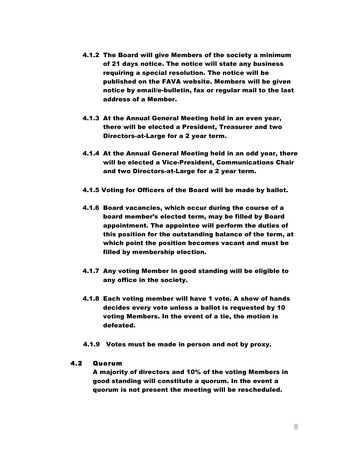- 4.1.2 The Board will give Members of the society a minimum of 21 days notice. The notice will state any business requiring a special resolution. The notice will be published on the FAVA website. Members will be given notice by email/e-bulletin, fax or regular mail to the last address of a Member.
- 4.1.3 At the Annual General Meeting held in an even year, there will be elected a President, Treasurer and two Directors-at-Large for a 2 year term.
- 4.1.4 At the Annual General Meeting held in an odd year, there will be elected a Vice-President, Communications Chair and two Directors-at-Large for a 2 year term.
- 4.1.5 Voting for Officers of the Board will be made by ballot.
- 4.1.6 Board vacancies, which occur during the course of a board member's elected term, may be filled by Board appointment. The appointee will perform the duties of this position for the outstanding balance of the term, at which point the position becomes vacant and must be filled by membership election.
- 4.1.7 Any voting Member in good standing will be eligible to any office in the society.
- 4.1.8 Each voting member will have 1 vote. A show of hands decides every vote unless a ballot is requested by 10 voting Members. In the event of a tie, the motion is defeated.
- 4.1.9 Votes must be made in person and not by proxy.

#### 4.2 Quorum

A majority of directors and 10% of the voting Members in good standing will constitute a quorum. In the event a quorum is not present the meeting will be rescheduled.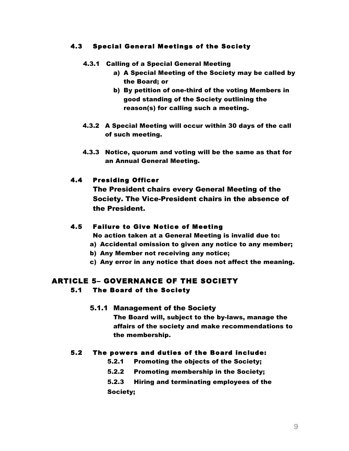### 4.3 Special General Meetings of the Society

- 4.3.1 Calling of a Special General Meeting
	- a) A Special Meeting of the Society may be called by the Board; or
	- b) By petition of one-third of the voting Members in good standing of the Society outlining the reason(s) for calling such a meeting.
- 4.3.2 A Special Meeting will occur within 30 days of the call of such meeting.
- 4.3.3 Notice, quorum and voting will be the same as that for an Annual General Meeting.

### 4.4 Presiding Officer

The President chairs every General Meeting of the Society. The Vice-President chairs in the absence of the President.

#### 4.5 Failure to Give Notice of Meeting

No action taken at a General Meeting is invalid due to:

- a) Accidental omission to given any notice to any member;
- b) Any Member not receiving any notice;
- c) Any error in any notice that does not affect the meaning.

### ARTICLE 5– GOVERNANCE OF THE SOCIETY 5.1 The Board of the Society

#### 5.1.1 Management of the Society

The Board will, subject to the by-laws, manage the affairs of the society and make recommendations to the membership.

#### 5.2 The powers and duties of the Board include:

- 5.2.1 Promoting the objects of the Society;
- 5.2.2 Promoting membership in the Society;
- 5.2.3 Hiring and terminating employees of the

Society;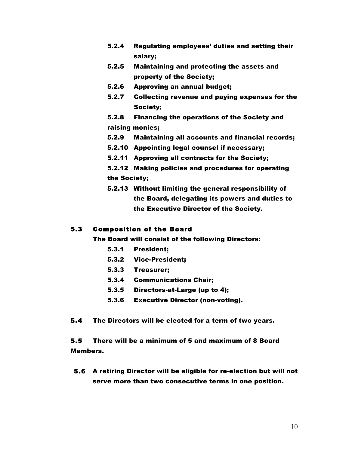- 5.2.4 Regulating employees' duties and setting their salary;
- 5.2.5 Maintaining and protecting the assets and property of the Society;
- 5.2.6 Approving an annual budget;
- 5.2.7 Collecting revenue and paying expenses for the Society;
- 5.2.8 Financing the operations of the Society and raising monies;
- 5.2.9 Maintaining all accounts and financial records;
- 5.2.10 Appointing legal counsel if necessary;
- 5.2.11 Approving all contracts for the Society;
- 5.2.12 Making policies and procedures for operating the Society;
- 5.2.13 Without limiting the general responsibility of the Board, delegating its powers and duties to the Executive Director of the Society.

#### 5.3 Composition of the Board

The Board will consist of the following Directors:

- 5.3.1 President;
- 5.3.2 Vice-President;
- 5.3.3 Treasurer;
- 5.3.4 Communications Chair;
- 5.3.5 Directors-at-Large (up to 4);
- 5.3.6 Executive Director (non-voting).
- 5.4 The Directors will be elected for a term of two years.

5.5 There will be a minimum of 5 and maximum of 8 Board Members.

5.6 A retiring Director will be eligible for re-election but will not serve more than two consecutive terms in one position.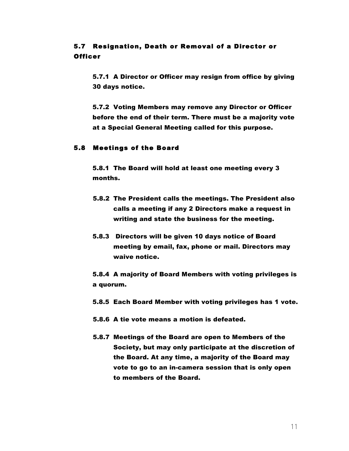# 5.7 Resignation, Death or Removal of a Director or Officer

5.7.1 A Director or Officer may resign from office by giving 30 days notice.

5.7.2 Voting Members may remove any Director or Officer before the end of their term. There must be a majority vote at a Special General Meeting called for this purpose.

#### 5.8 Meetings of the Board

5.8.1 The Board will hold at least one meeting every 3 months.

- 5.8.2 The President calls the meetings. The President also calls a meeting if any 2 Directors make a request in writing and state the business for the meeting.
- 5.8.3 Directors will be given 10 days notice of Board meeting by email, fax, phone or mail. Directors may waive notice.

5.8.4 A majority of Board Members with voting privileges is a quorum.

- 5.8.5 Each Board Member with voting privileges has 1 vote.
- 5.8.6 A tie vote means a motion is defeated.
- 5.8.7 Meetings of the Board are open to Members of the Society, but may only participate at the discretion of the Board. At any time, a majority of the Board may vote to go to an in-camera session that is only open to members of the Board.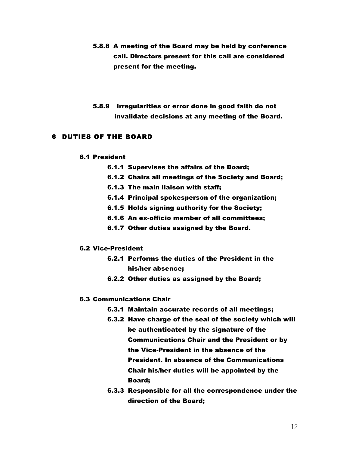- 5.8.8 A meeting of the Board may be held by conference call. Directors present for this call are considered present for the meeting.
- 5.8.9 Irregularities or error done in good faith do not invalidate decisions at any meeting of the Board.

#### 6 DUTIES OF THE BOARD

#### 6.1 President

- 6.1.1 Supervises the affairs of the Board;
- 6.1.2 Chairs all meetings of the Society and Board;
- 6.1.3 The main liaison with staff;
- 6.1.4 Principal spokesperson of the organization;
- 6.1.5 Holds signing authority for the Society;
- 6.1.6 An ex-officio member of all committees;
- 6.1.7 Other duties assigned by the Board.

#### 6.2 Vice-President

- 6.2.1 Performs the duties of the President in the his/her absence;
- 6.2.2 Other duties as assigned by the Board;

#### 6.3 Communications Chair

- 6.3.1 Maintain accurate records of all meetings;
- 6.3.2 Have charge of the seal of the society which will be authenticated by the signature of the Communications Chair and the President or by the Vice-President in the absence of the President. In absence of the Communications Chair his/her duties will be appointed by the Board;
- 6.3.3 Responsible for all the correspondence under the direction of the Board;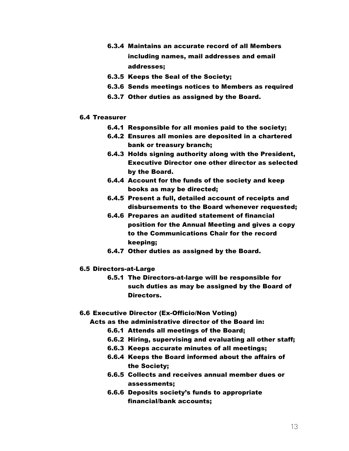- 6.3.4 Maintains an accurate record of all Members including names, mail addresses and email addresses;
- 6.3.5 Keeps the Seal of the Society;
- 6.3.6 Sends meetings notices to Members as required
- 6.3.7 Other duties as assigned by the Board.

#### 6.4 Treasurer

- 6.4.1 Responsible for all monies paid to the society;
- 6.4.2 Ensures all monies are deposited in a chartered bank or treasury branch;
- 6.4.3 Holds signing authority along with the President, Executive Director one other director as selected by the Board.
- 6.4.4 Account for the funds of the society and keep books as may be directed;
- 6.4.5 Present a full, detailed account of receipts and disbursements to the Board whenever requested;
- 6.4.6 Prepares an audited statement of financial position for the Annual Meeting and gives a copy to the Communications Chair for the record keeping;
- 6.4.7 Other duties as assigned by the Board.

#### 6.5 Directors-at-Large

6.5.1 The Directors-at-large will be responsible for such duties as may be assigned by the Board of Directors.

#### 6.6 Executive Director (Ex-Officio/Non Voting)

Acts as the administrative director of the Board in:

- 6.6.1 Attends all meetings of the Board;
- 6.6.2 Hiring, supervising and evaluating all other staff;
- 6.6.3 Keeps accurate minutes of all meetings;
- 6.6.4 Keeps the Board informed about the affairs of the Society;
- 6.6.5 Collects and receives annual member dues or assessments;
- 6.6.6 Deposits society's funds to appropriate financial/bank accounts;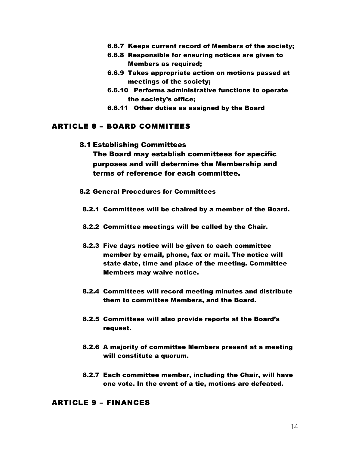- 6.6.7 Keeps current record of Members of the society;
- 6.6.8 Responsible for ensuring notices are given to Members as required;
- 6.6.9 Takes appropriate action on motions passed at meetings of the society;
- 6.6.10 Performs administrative functions to operate the society's office;
- 6.6.11 Other duties as assigned by the Board

### ARTICLE 8 – BOARD COMMITEES

8.1 Establishing Committees

The Board may establish committees for specific purposes and will determine the Membership and terms of reference for each committee.

- 8.2 General Procedures for Committees
- 8.2.1 Committees will be chaired by a member of the Board.
- 8.2.2 Committee meetings will be called by the Chair.
- 8.2.3 Five days notice will be given to each committee member by email, phone, fax or mail. The notice will state date, time and place of the meeting. Committee Members may waive notice.
- 8.2.4 Committees will record meeting minutes and distribute them to committee Members, and the Board.
- 8.2.5 Committees will also provide reports at the Board's request.
- 8.2.6 A majority of committee Members present at a meeting will constitute a quorum.
- 8.2.7 Each committee member, including the Chair, will have one vote. In the event of a tie, motions are defeated.

### ARTICLE 9 – FINANCES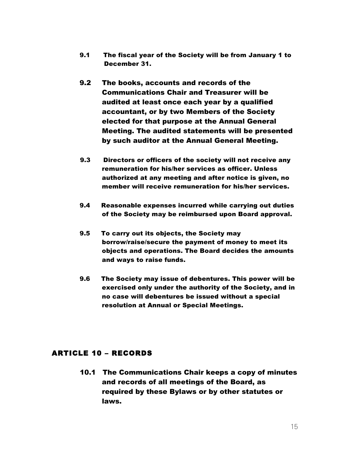- 9.1 The fiscal year of the Society will be from January 1 to December 31.
- 9.2 The books, accounts and records of the Communications Chair and Treasurer will be audited at least once each year by a qualified accountant, or by two Members of the Society elected for that purpose at the Annual General Meeting. The audited statements will be presented by such auditor at the Annual General Meeting.
- 9.3 Directors or officers of the society will not receive any remuneration for his/her services as officer. Unless authorized at any meeting and after notice is given, no member will receive remuneration for his/her services.
- 9.4 Reasonable expenses incurred while carrying out duties of the Society may be reimbursed upon Board approval.
- 9.5 To carry out its objects, the Society may borrow/raise/secure the payment of money to meet its objects and operations. The Board decides the amounts and ways to raise funds.
- 9.6 The Society may issue of debentures. This power will be exercised only under the authority of the Society, and in no case will debentures be issued without a special resolution at Annual or Special Meetings.

# ARTICLE 10 – RECORDS

10.1 The Communications Chair keeps a copy of minutes and records of all meetings of the Board, as required by these Bylaws or by other statutes or laws.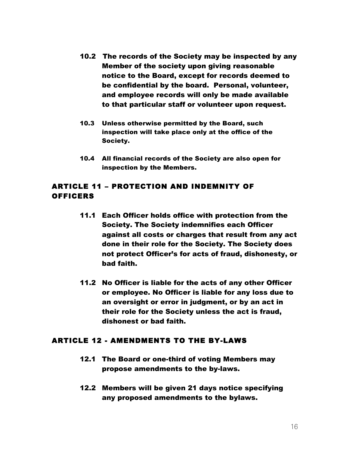- 10.2 The records of the Society may be inspected by any Member of the society upon giving reasonable notice to the Board, except for records deemed to be confidential by the board. Personal, volunteer, and employee records will only be made available to that particular staff or volunteer upon request.
- 10.3 Unless otherwise permitted by the Board, such inspection will take place only at the office of the Society.
- 10.4 All financial records of the Society are also open for inspection by the Members.

# ARTICLE 11 – PROTECTION AND INDEMNITY OF **OFFICERS**

- 11.1 Each Officer holds office with protection from the Society. The Society indemnifies each Officer against all costs or charges that result from any act done in their role for the Society. The Society does not protect Officer's for acts of fraud, dishonesty, or bad faith.
- 11.2 No Officer is liable for the acts of any other Officer or employee. No Officer is liable for any loss due to an oversight or error in judgment, or by an act in their role for the Society unless the act is fraud, dishonest or bad faith.

# ARTICLE 12 - AMENDMENTS TO THE BY-LAWS

- 12.1 The Board or one-third of voting Members may propose amendments to the by-laws.
- 12.2 Members will be given 21 days notice specifying any proposed amendments to the bylaws.